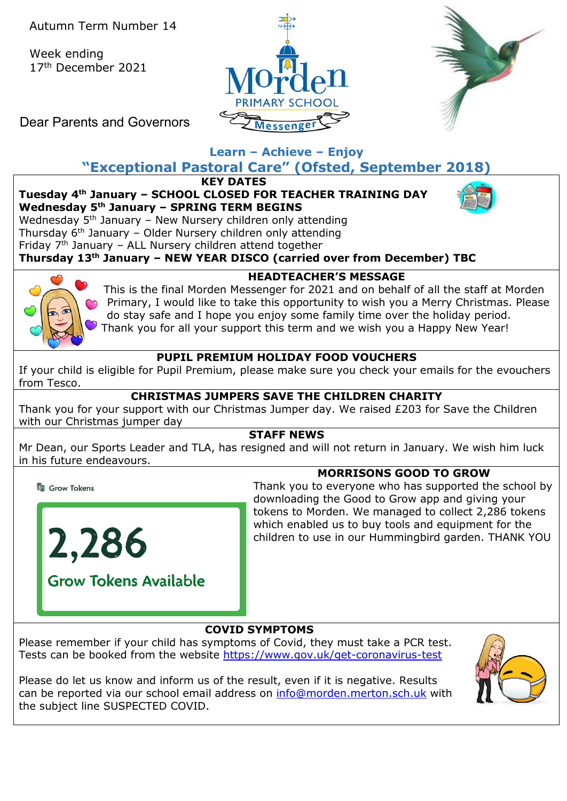Week ending 17th December 2021





Dear Parents and Governors

# **Learn – Achieve – Enjoy**

# **"Exceptional Pastoral Care" (Ofsted, September 2018)**

**KEY DATES**

**Tuesday 4th January – SCHOOL CLOSED FOR TEACHER TRAINING DAY Wednesday 5th January – SPRING TERM BEGINS**



Wednesday  $5<sup>th</sup>$  January – New Nursery children only attending Thursday  $6<sup>th</sup>$  January – Older Nursery children only attending Friday  $7<sup>th</sup>$  January – ALL Nursery children attend together

**Thursday 13th January – NEW YEAR DISCO (carried over from December) TBC**



**HEADTEACHER'S MESSAGE**

This is the final Morden Messenger for 2021 and on behalf of all the staff at Morden Primary, I would like to take this opportunity to wish you a Merry Christmas. Please do stay safe and I hope you enjoy some family time over the holiday period. Thank you for all your support this term and we wish you a Happy New Year!

## **PUPIL PREMIUM HOLIDAY FOOD VOUCHERS**

If your child is eligible for Pupil Premium, please make sure you check your emails for the evouchers from Tesco.

# **CHRISTMAS JUMPERS SAVE THE CHILDREN CHARITY**

Thank you for your support with our Christmas Jumper day. We raised £203 for Save the Children with our Christmas jumper day

## **STAFF NEWS**

Mr Dean, our Sports Leader and TLA, has resigned and will not return in January. We wish him luck in his future endeavours.

**Le Grow Tokens** 



# **MORRISONS GOOD TO GROW**

Thank you to everyone who has supported the school by downloading the Good to Grow app and giving your tokens to Morden. We managed to collect 2,286 tokens which enabled us to buy tools and equipment for the children to use in our Hummingbird garden. THANK YOU

## **COVID SYMPTOMS**

Please remember if your child has symptoms of Covid, they must take a PCR test. Tests can be booked from the website<https://www.gov.uk/get-coronavirus-test>

Please do let us know and inform us of the result, even if it is negative. Results can be reported via our school email address on [info@morden.merton.sch.uk](mailto:info@morden.merton.sch.uk) with the subject line SUSPECTED COVID.

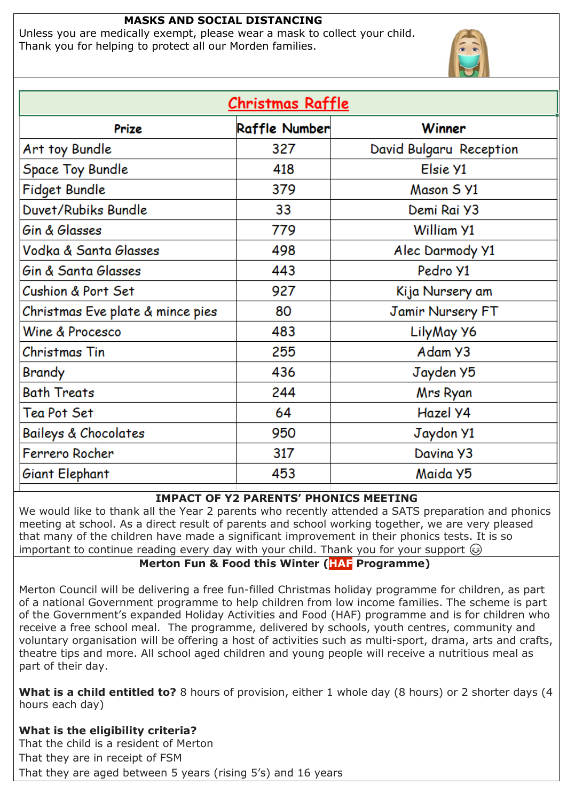#### **MASKS AND SOCIAL DISTANCING**

Unless you are medically exempt, please wear a mask to collect your child. Thank you for helping to protect all our Morden families.



| <u> Christmas Raffle</u>         |                      |                         |  |  |
|----------------------------------|----------------------|-------------------------|--|--|
| Prize                            | <b>Raffle Number</b> | Winner                  |  |  |
| Art toy Bundle                   | 327                  | David Bulgaru Reception |  |  |
| <b>Space Toy Bundle</b>          | 418                  | Elsie Y1                |  |  |
| Fidget Bundle                    | 379                  | Mason 5 Y1              |  |  |
| Duvet/Rubiks Bundle              | 33                   | Demi Rai Y3             |  |  |
| Gin & Glasses                    | 779                  | William Y1              |  |  |
| Vodka & Santa Glasses            | 498                  | Alec Darmody Y1         |  |  |
| Gin & Santa Glasses              | 443                  | Pedro Y1                |  |  |
| Cushion & Port Set               | 927                  | Kija Nursery am         |  |  |
| Christmas Eve plate & mince pies | 80                   | <b>Jamir Nursery FT</b> |  |  |
| Wine & Procesco                  | 483                  | LilyMay Y6              |  |  |
| Christmas Tin                    | 255                  | Adam Y3                 |  |  |
| Brandy                           | 436                  | Jayden Y5               |  |  |
| <b>Bath Treats</b>               | 244                  | Mrs Ryan                |  |  |
| Tea Pot Set                      | 64                   | Hazel Y4                |  |  |
| Baileys & Chocolates             | 950                  | Jaydon Y1               |  |  |
| Ferrero Rocher                   | 317                  | Davina Y3               |  |  |
| Giant Elephant                   | 453                  | Maida Y5                |  |  |

#### **IMPACT OF Y2 PARENTS' PHONICS MEETING**

We would like to thank all the Year 2 parents who recently attended a SATS preparation and phonics meeting at school. As a direct result of parents and school working together, we are very pleased that many of the children have made a significant improvement in their phonics tests. It is so important to continue reading every day with your child. Thank you for your support  $\circledcirc$ 

## **Merton Fun & Food this Winter (HAF Programme)**

Merton Council will be delivering a free fun-filled Christmas holiday programme for children, as part of a national Government programme to help children from low income families. The scheme is part of the Government's expanded Holiday Activities and Food (HAF) programme and is for children who receive a free school meal. The programme, delivered by schools, youth centres, community and voluntary organisation will be offering a host of activities such as multi-sport, drama, arts and crafts, theatre tips and more. All school aged children and young people will receive a nutritious meal as part of their day.

**What is a child entitled to?** 8 hours of provision, either 1 whole day (8 hours) or 2 shorter days (4 hours each day)

**What is the eligibility criteria?** That the child is a resident of Merton That they are in receipt of FSM That they are aged between 5 years (rising 5's) and 16 years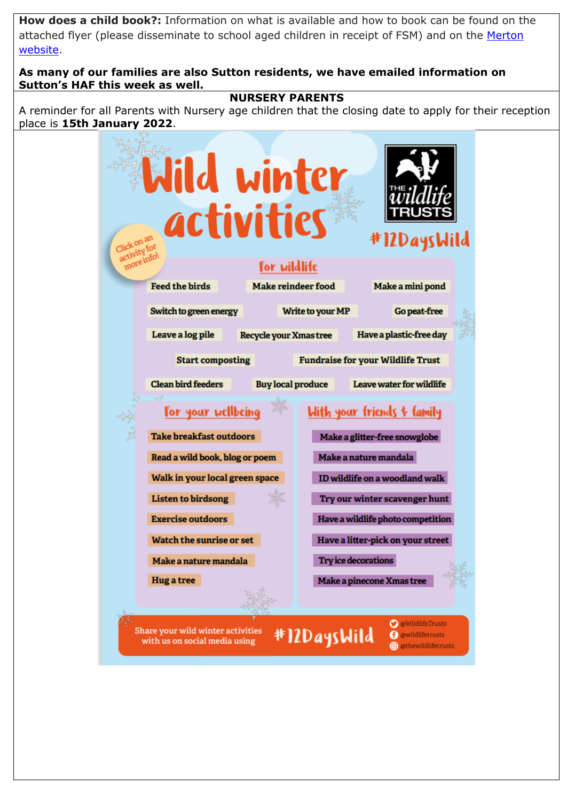**How does a child book?:** Information on what is available and how to book can be found on the attached flyer (please disseminate to school aged children in receipt of FSM) and on the Merton [website.](https://www.merton.gov.uk/communities-and-neighbourhoods/events/fun-food)

#### **As many of our families are also Sutton residents, we have emailed information on Sutton's HAF this week as well.**

#### **NURSERY PARENTS**

A reminder for all Parents with Nursery age children that the closing date to apply for their reception place is **15th January 2022**.

|                                | ild winter                     |                           |                                          |  |
|--------------------------------|--------------------------------|---------------------------|------------------------------------------|--|
|                                | activities                     |                           | #12DaysWild                              |  |
|                                |                                | <b>For wildlife</b>       |                                          |  |
| <b>Feed the birds</b>          |                                | <b>Make reindeer food</b> | Make a mini pond                         |  |
| Switch to green energy         |                                | <b>Write to your MP</b>   | <b>Go peat-free</b>                      |  |
| Leave a log pile               | <b>Recycle your Xmas tree</b>  |                           | Have a plastic-free day                  |  |
|                                | <b>Start composting</b>        |                           | <b>Fundraise for your Wildlife Trust</b> |  |
| <b>Clean bird feeders</b>      |                                | <b>Buy local produce</b>  | Leave water for wildlife                 |  |
|                                | <u>For your wellbeing</u>      |                           | <u> With your friends &amp; family</u>   |  |
| <b>Take breakfast outdoors</b> |                                |                           | Make a glitter-free snowglobe            |  |
|                                | Read a wild book, blog or poem |                           | Make a nature mandala                    |  |
|                                | Walk in your local green space |                           | ID wildlife on a woodland walk           |  |
| <b>Listen to birdsong</b>      |                                |                           | Try our winter scavenger hunt            |  |
| <b>Exercise outdoors</b>       |                                |                           | Have a wildlife photo competition        |  |
| Watch the sunrise or set       |                                |                           | Have a litter-pick on your street        |  |
| Make a nature mandala          |                                |                           | <b>Try ice decorations</b>               |  |
| <b>Hug a tree</b>              |                                |                           | Make a pinecone Xmas tree                |  |
|                                |                                |                           |                                          |  |
|                                |                                |                           | <b>O</b> @WildlifeTrusts<br>.            |  |

with us on social media using

# #ILDaysWild

(f) @wildlifetrusts

@ @thewildlifetrusts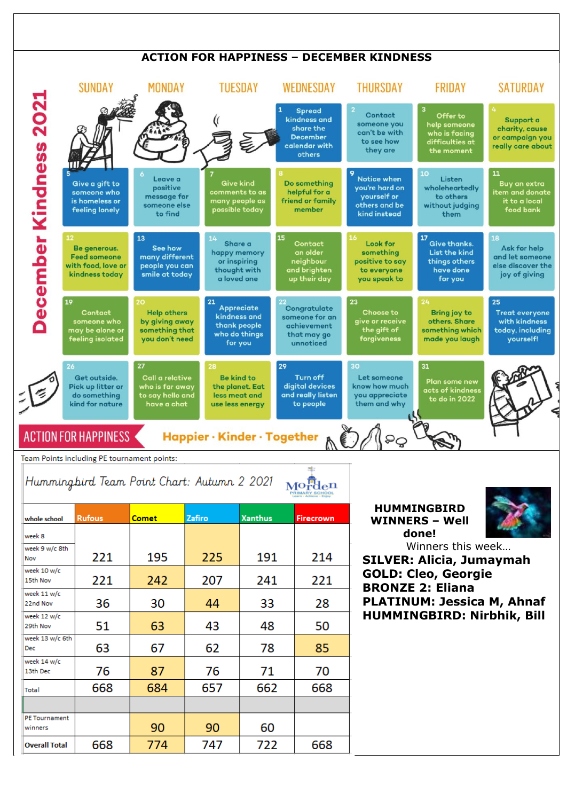## **ACTION FOR HAPPINESS – DECEMBER KINDNESS**



Team Points including PE tournament points:

Hummingbird Team Point Chart: Autumn 2 2021  $Mo^{\text{fn}}_{r}$ den

| whole school                    | <b>Rufous</b> | <b>Comet</b> | Zafiro | <b>Xanthus</b> | <b>Firecrown</b> |
|---------------------------------|---------------|--------------|--------|----------------|------------------|
| week 8                          |               |              |        |                |                  |
| week 9 w/c 8th<br>Nov           | 221           | 195          | 225    | 191            | 214              |
| week 10 w/c<br>15th Nov         | 221           | 242          | 207    | 241            | 221              |
| week 11 w/c<br>22nd Nov         | 36            | 30           | 44     | 33             | 28               |
| week 12 w/c<br>29th Nov         | 51            | 63           | 43     | 48             | 50               |
| week 13 w/c 6th<br><b>Dec</b>   | 63            | 67           | 62     | 78             | 85               |
| week 14 w/c<br>13th Dec         | 76            | 87           | 76     | 71             | 70               |
| Total                           | 668           | 684          | 657    | 662            | 668              |
|                                 |               |              |        |                |                  |
| <b>PE Tournament</b><br>winners |               | 90           | 90     | 60             |                  |
| <b>Overall Total</b>            | 668           | 774          | 747    | 722            | 668              |

**HUMMINGBIRD WINNERS – Well done!**

Winners this week… **SILVER: Alicia, Jumaymah GOLD: Cleo, Georgie BRONZE 2: Eliana PLATINUM: Jessica M, Ahnaf HUMMINGBIRD: Nirbhik, Bill**